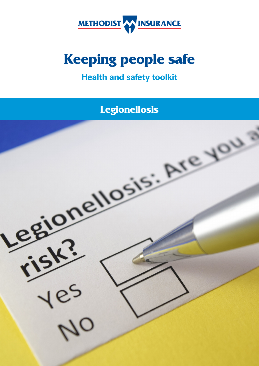

# **Keeping people safe**

# **Health and safety toolkit**

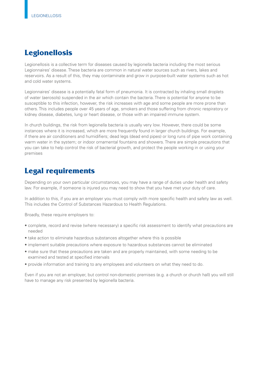## **Legionellosis**

Legionellosis is a collective term for diseases caused by legionella bacteria including the most serious Legionnaires' disease. These bacteria are common in natural water sources such as rivers, lakes and reservoirs. As a result of this, they may contaminate and grow in purpose-built water systems such as hot and cold water systems.

Legionnaires' disease is a potentially fatal form of pneumonia. It is contracted by inhaling small droplets of water (aerosols) suspended in the air which contain the bacteria. There is potential for anyone to be susceptible to this infection, however, the risk increases with age and some people are more prone than others. This includes people over 45 years of age, smokers and those suffering from chronic respiratory or kidney disease, diabetes, lung or heart disease, or those with an impaired immune system.

In church buildings, the risk from legionella bacteria is usually very low. However, there could be some instances where it is increased, which are more frequently found in larger church buildings. For example, if there are air conditioners and humidifers; dead legs (dead end pipes) or long runs of pipe work containing warm water in the system; or indoor ornamental fountains and showers. There are simple precautions that you can take to help control the risk of bacterial growth, and protect the people working in or using your premises

### **Legal requirements**

Depending on your own particular circumstances, you may have a range of duties under health and safety law. For example, if someone is injured you may need to show that you have met your duty of care.

In addition to this, if you are an employer you must comply with more specific health and safety law as well. This includes the Control of Substances Hazardous to Health Regulations.

Broadly, these require employers to:

- complete, record and revise (where necessary) a specific risk assessment to identify what precautions are needed
- take action to eliminate hazardous substances altogether where this is possible
- implement suitable precautions where exposure to hazardous substances cannot be eliminated
- make sure that these precautions are taken and are properly maintained, with some needing to be examined and tested at specifed intervals
- provide information and training to any employees and volunteers on what they need to do.

Even if you are not an employer, but control non-domestic premises (e.g. a church or church hall) you will still have to manage any risk presented by legionella bacteria.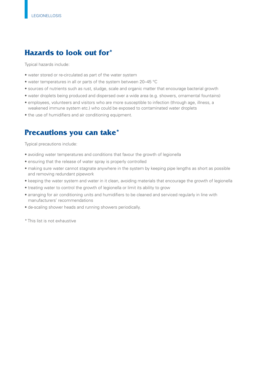# **Hazards to look out for\***

Typical hazards include:

- water stored or re-circulated as part of the water system
- water temperatures in all or parts of the system between 20–45 °C
- sources of nutrients such as rust, sludge, scale and organic matter that encourage bacterial growth
- water droplets being produced and dispersed over a wide area (e.g. showers, ornamental fountains)
- employees, volunteers and visitors who are more susceptible to infection (through age, illness, a weakened immune system etc.) who could be exposed to contaminated water droplets
- the use of humidifers and air conditioning equipment.

### **Precautions you can take\***

Typical precautions include:

- avoiding water temperatures and conditions that favour the growth of legionella
- ensuring that the release of water spray is properly controlled
- making sure water cannot stagnate anywhere in the system by keeping pipe lengths as short as possible and removing redundant pipework
- keeping the water system and water in it clean, avoiding materials that encourage the growth of legionella
- treating water to control the growth of legionella or limit its ability to grow
- arranging for air conditioning units and humidifers to be cleaned and serviced regularly in line with manufacturers' recommendations
- de-scaling shower heads and running showers periodically.
- \* This list is not exhaustive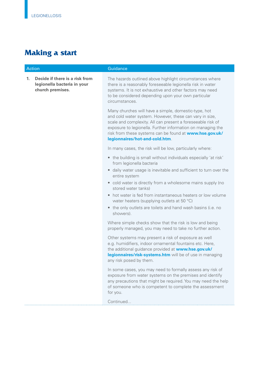# **Making a start**

| <b>Action</b> |                                                                                   | Guidance                                                                                                                                                                                                                                                                                                                                   |
|---------------|-----------------------------------------------------------------------------------|--------------------------------------------------------------------------------------------------------------------------------------------------------------------------------------------------------------------------------------------------------------------------------------------------------------------------------------------|
| 1.            | Decide if there is a risk from<br>legionella bacteria in your<br>church premises. | The hazards outlined above highlight circumstances where<br>there is a reasonably foreseeable legionella risk in water<br>systems. It is not exhaustive and other factors may need<br>to be considered depending upon your own particular<br>circumstances.                                                                                |
|               |                                                                                   | Many churches will have a simple, domestic-type, hot<br>and cold water system. However, these can vary in size,<br>scale and complexity. All can present a foreseeable risk of<br>exposure to legionella. Further information on managing the<br>risk from these systems can be found at www.hse.gov.uk/<br>legionnaires/hot-and-cold.htm. |
|               |                                                                                   | In many cases, the risk will be low, particularly where:                                                                                                                                                                                                                                                                                   |
|               |                                                                                   | • the building is small without individuals especially 'at risk'<br>from legionella bacteria                                                                                                                                                                                                                                               |
|               |                                                                                   | • daily water usage is inevitable and sufficient to turn over the<br>entire system                                                                                                                                                                                                                                                         |
|               |                                                                                   | • cold water is directly from a wholesome mains supply (no<br>stored water tanks)                                                                                                                                                                                                                                                          |
|               |                                                                                   | hot water is fed from instantaneous heaters or low volume<br>water heaters (supplying outlets at 50 °C)                                                                                                                                                                                                                                    |
|               |                                                                                   | the only outlets are toilets and hand wash basins (i.e. no<br>$\bullet$<br>showers).                                                                                                                                                                                                                                                       |
|               |                                                                                   | Where simple checks show that the risk is low and being<br>properly managed, you may need to take no further action.                                                                                                                                                                                                                       |
|               |                                                                                   | Other systems may present a risk of exposure as well<br>e.g. humidifiers, indoor ornamental fountains etc. Here,<br>the additional guidance provided at www.hse.gov.uk/<br>legionnaires/risk-systems.htm will be of use in managing<br>any risk posed by them.                                                                             |
|               |                                                                                   | In some cases, you may need to formally assess any risk of<br>exposure from water systems on the premises and identify<br>any precautions that might be required. You may need the help<br>of someone who is competent to complete the assessment<br>for you.                                                                              |
|               |                                                                                   | Continued                                                                                                                                                                                                                                                                                                                                  |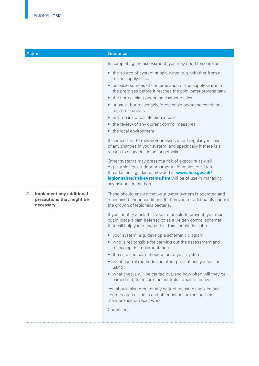| <b>Action</b>                                                             | Guidance                                                                                                                                                                                                                                                                                                                                                                                                                                                                                                                                                                                                                                                                                                                                                                                                                 |
|---------------------------------------------------------------------------|--------------------------------------------------------------------------------------------------------------------------------------------------------------------------------------------------------------------------------------------------------------------------------------------------------------------------------------------------------------------------------------------------------------------------------------------------------------------------------------------------------------------------------------------------------------------------------------------------------------------------------------------------------------------------------------------------------------------------------------------------------------------------------------------------------------------------|
|                                                                           | In completing the assessment, you may need to consider:                                                                                                                                                                                                                                                                                                                                                                                                                                                                                                                                                                                                                                                                                                                                                                  |
|                                                                           | • the source of system supply water, e.g. whether from a<br>mains supply or not                                                                                                                                                                                                                                                                                                                                                                                                                                                                                                                                                                                                                                                                                                                                          |
|                                                                           | possible sources of contamination of the supply water in<br>the premises before it reaches the cold water storage tank<br>• the normal plant operating characteristics<br>• unusual, but reasonably foreseeable operating conditions,<br>e.g. breakdowns<br>• any means of disinfection in use<br>• the review of any current control measures<br>• the local environment.<br>It is important to review your assessment regularly in case<br>of any changes in your system, and specifically if there is a<br>reason to suspect it is no longer valid.<br>Other systems may present a risk of exposure as well<br>e.g. humidifiers, indoor ornamental fountains etc. Here,<br>the additional guidance provided at www.hse.gov.uk/<br>legionnaires/risk-systems.htm will be of use in managing<br>any risk posed by them. |
| Implement any additional<br>2.<br>precautions that might be<br>necessary. | These should ensure that your water system is operated and<br>maintained under conditions that prevent or adequately control<br>the growth of legionella bacteria.                                                                                                                                                                                                                                                                                                                                                                                                                                                                                                                                                                                                                                                       |
|                                                                           | If you identify a risk that you are unable to prevent, you must<br>put in place a plan (referred to as a written control scheme)<br>that will help you manage this. This should describe:                                                                                                                                                                                                                                                                                                                                                                                                                                                                                                                                                                                                                                |
|                                                                           | • your system, e.g. develop a schematic diagram<br>• who is responsible for carrying out the assessment and<br>managing its implementation                                                                                                                                                                                                                                                                                                                                                                                                                                                                                                                                                                                                                                                                               |
|                                                                           | • the safe and correct operation of your system<br>• what control methods and other precautions you will be<br>using<br>• what checks will be carried out, and how often will they be                                                                                                                                                                                                                                                                                                                                                                                                                                                                                                                                                                                                                                    |
|                                                                           | carried out, to ensure the controls remain effective.<br>You should also monitor any control measures applied and<br>keep records of these and other actions taken, such as<br>maintenance or repair work.                                                                                                                                                                                                                                                                                                                                                                                                                                                                                                                                                                                                               |
|                                                                           | Continued                                                                                                                                                                                                                                                                                                                                                                                                                                                                                                                                                                                                                                                                                                                                                                                                                |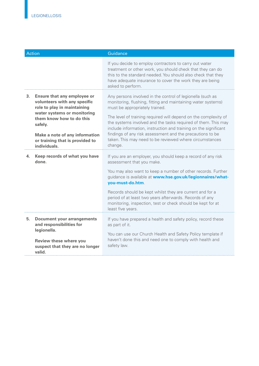| <b>Action</b> |                                                                                                                                                                                                                                                              | Guidance                                                                                                                                                                                                                                                                                                                                                                                                                                                                                                |
|---------------|--------------------------------------------------------------------------------------------------------------------------------------------------------------------------------------------------------------------------------------------------------------|---------------------------------------------------------------------------------------------------------------------------------------------------------------------------------------------------------------------------------------------------------------------------------------------------------------------------------------------------------------------------------------------------------------------------------------------------------------------------------------------------------|
|               |                                                                                                                                                                                                                                                              | If you decide to employ contractors to carry out water<br>treatment or other work, you should check that they can do<br>this to the standard needed. You should also check that they<br>have adequate insurance to cover the work they are being<br>asked to perform.                                                                                                                                                                                                                                   |
| 3.            | <b>Ensure that any employee or</b><br>volunteers with any specific<br>role to play in maintaining<br>water systems or monitoring<br>them know how to do this<br>safely.<br>Make a note of any information<br>or training that is provided to<br>individuals. | Any persons involved in the control of legionella (such as<br>monitoring, flushing, fitting and maintaining water systems)<br>must be appropriately trained.<br>The level of training required will depend on the complexity of<br>the systems involved and the tasks required of them. This may<br>include information, instruction and training on the significant<br>findings of any risk assessment and the precautions to be<br>taken. This may need to be reviewed where circumstances<br>change. |
| 4.            | Keep records of what you have<br>done.                                                                                                                                                                                                                       | If you are an employer, you should keep a record of any risk<br>assessment that you make.<br>You may also want to keep a number of other records. Further<br>guidance is available at www.hse.gov.uk/legionnaires/what-<br>you-must-do.htm.<br>Records should be kept whilst they are current and for a<br>period of at least two years afterwards. Records of any<br>monitoring, inspection, test or check should be kept for at<br>least five years.                                                  |
| 5.            | <b>Document your arrangements</b><br>and responsibilities for<br>legionella.<br><b>Review these where you</b><br>suspect that they are no longer<br>valid.                                                                                                   | If you have prepared a health and safety policy, record these<br>as part of it.<br>You can use our Church Health and Safety Policy template if<br>haven't done this and need one to comply with health and<br>safety law.                                                                                                                                                                                                                                                                               |